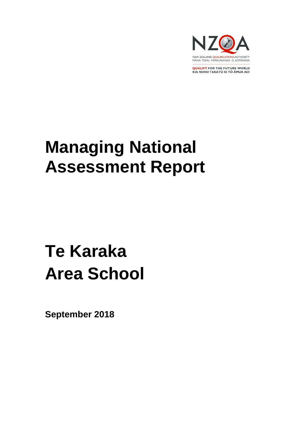

**QUALIFY FOR THE FUTURE WORLD** KIA NOHO TAKATŪ KI TŌ ĀMUA AO!

# **Managing National Assessment Report**

# **Te Karaka Area School**

**September 2018**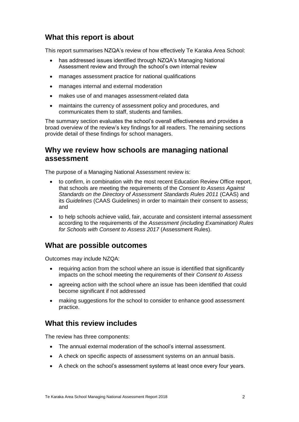# **What this report is about**

This report summarises NZQA's review of how effectively Te Karaka Area School:

- has addressed issues identified through NZQA's Managing National Assessment review and through the school's own internal review
- manages assessment practice for national qualifications
- manages internal and external moderation
- makes use of and manages assessment-related data
- maintains the currency of assessment policy and procedures, and communicates them to staff, students and families.

The summary section evaluates the school's overall effectiveness and provides a broad overview of the review's key findings for all readers. The remaining sections provide detail of these findings for school managers.

# **Why we review how schools are managing national assessment**

The purpose of a Managing National Assessment review is:

- to confirm, in combination with the most recent Education Review Office report, that schools are meeting the requirements of the *Consent to Assess Against Standards on the Directory of Assessment Standards Rules 2011* (CAAS) and its *Guidelines* (CAAS Guidelines) in order to maintain their consent to assess; and
- to help schools achieve valid, fair, accurate and consistent internal assessment according to the requirements of the *Assessment (including Examination) Rules for Schools with Consent to Assess 2017* (Assessment Rules).

### **What are possible outcomes**

Outcomes may include NZQA:

- requiring action from the school where an issue is identified that significantly impacts on the school meeting the requirements of their *Consent to Assess*
- agreeing action with the school where an issue has been identified that could become significant if not addressed
- making suggestions for the school to consider to enhance good assessment practice.

# **What this review includes**

The review has three components:

- The annual external moderation of the school's internal assessment.
- A check on specific aspects of assessment systems on an annual basis.
- A check on the school's assessment systems at least once every four years.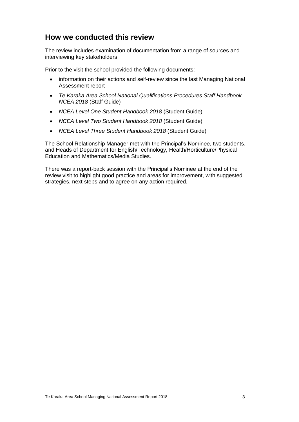# **How we conducted this review**

The review includes examination of documentation from a range of sources and interviewing key stakeholders.

Prior to the visit the school provided the following documents:

- information on their actions and self-review since the last Managing National Assessment report
- *Te Karaka Area School National Qualifications Procedures Staff Handbook-NCEA 2018* (Staff Guide)
- *NCEA Level One Student Handbook 2018* (Student Guide)
- *NCEA Level Two Student Handbook 2018* (Student Guide)
- *NCEA Level Three Student Handbook 2018* (Student Guide)

The School Relationship Manager met with the Principal's Nominee, two students, and Heads of Department for English/Technology, Health/Horticulture/Physical Education and Mathematics/Media Studies.

There was a report-back session with the Principal's Nominee at the end of the review visit to highlight good practice and areas for improvement, with suggested strategies, next steps and to agree on any action required.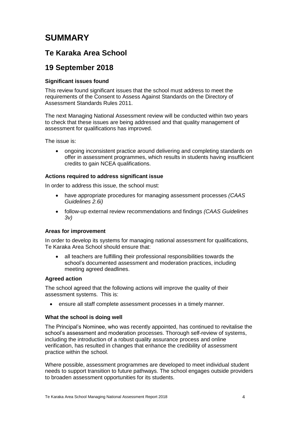# **SUMMARY**

# **Te Karaka Area School**

# **19 September 2018**

#### **Significant issues found**

This review found significant issues that the school must address to meet the requirements of the Consent to Assess Against Standards on the Directory of Assessment Standards Rules 2011.

The next Managing National Assessment review will be conducted within two years to check that these issues are being addressed and that quality management of assessment for qualifications has improved.

The issue is:

• ongoing inconsistent practice around delivering and completing standards on offer in assessment programmes, which results in students having insufficient credits to gain NCEA qualifications.

#### **Actions required to address significant issue**

In order to address this issue, the school must:

- have appropriate procedures for managing assessment processes *(CAAS Guidelines 2.6i)*
- follow-up external review recommendations and findings *(CAAS Guidelines 3v)*

#### **Areas for improvement**

In order to develop its systems for managing national assessment for qualifications, Te Karaka Area School should ensure that:

• all teachers are fulfilling their professional responsibilities towards the school's documented assessment and moderation practices, including meeting agreed deadlines.

#### **Agreed action**

The school agreed that the following actions will improve the quality of their assessment systems. This is:

ensure all staff complete assessment processes in a timely manner.

#### **What the school is doing well**

The Principal's Nominee, who was recently appointed, has continued to revitalise the school's assessment and moderation processes. Thorough self-review of systems, including the introduction of a robust quality assurance process and online verification, has resulted in changes that enhance the credibility of assessment practice within the school.

Where possible, assessment programmes are developed to meet individual student needs to support transition to future pathways. The school engages outside providers to broaden assessment opportunities for its students.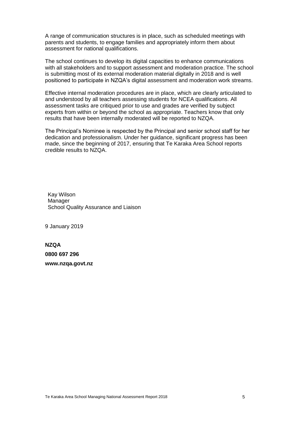A range of communication structures is in place, such as scheduled meetings with parents and students, to engage families and appropriately inform them about assessment for national qualifications.

The school continues to develop its digital capacities to enhance communications with all stakeholders and to support assessment and moderation practice. The school is submitting most of its external moderation material digitally in 2018 and is well positioned to participate in NZQA's digital assessment and moderation work streams.

Effective internal moderation procedures are in place, which are clearly articulated to and understood by all teachers assessing students for NCEA qualifications. All assessment tasks are critiqued prior to use and grades are verified by subject experts from within or beyond the school as appropriate. Teachers know that only results that have been internally moderated will be reported to NZQA.

The Principal's Nominee is respected by the Principal and senior school staff for her dedication and professionalism. Under her guidance, significant progress has been made, since the beginning of 2017, ensuring that Te Karaka Area School reports credible results to NZQA.

Kay Wilson Manager School Quality Assurance and Liaison

9 January 2019

**NZQA 0800 697 296 www.nzqa.govt.nz**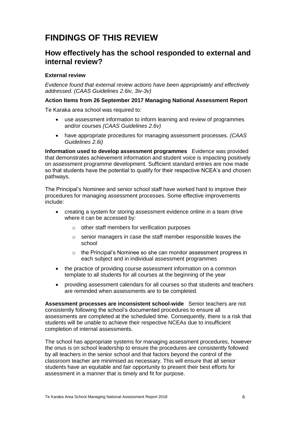# **FINDINGS OF THIS REVIEW**

### **How effectively has the school responded to external and internal review?**

#### **External review**

*Evidence found that external review actions have been appropriately and effectively addressed. (CAAS Guidelines 2.6iv, 3iv-3v)*

#### **Action Items from 26 September 2017 Managing National Assessment Report**

Te Karaka area school was required to:

- use assessment information to inform learning and review of programmes and/or courses *(CAAS Guidelines 2.6v)*
- have appropriate procedures for managing assessment processes. *(CAAS Guidelines 2.6i)*

**Information used to develop assessment programmes** Evidence was provided that demonstrates achievement information and student voice is impacting positively on assessment programme development. Sufficient standard entries are now made so that students have the potential to qualify for their respective NCEA's and chosen pathways.

The Principal's Nominee and senior school staff have worked hard to improve their procedures for managing assessment processes. Some effective improvements include:

- creating a system for storing assessment evidence online in a team drive where it can be accessed by:
	- o other staff members for verification purposes
	- o senior managers in case the staff member responsible leaves the school
	- o the Principal's Nominee so she can monitor assessment progress in each subject and in individual assessment programmes
- the practice of providing course assessment information on a common template to all students for all courses at the beginning of the year
- providing assessment calendars for all courses so that students and teachers are reminded when assessments are to be completed.

**Assessment processes are inconsistent school-wide** Senior teachers are not consistently following the school's documented procedures to ensure all assessments are completed at the scheduled time. Consequently, there is a risk that students will be unable to achieve their respective NCEAs due to insufficient completion of internal assessments.

The school has appropriate systems for managing assessment procedures, however the onus is on school leadership to ensure the procedures are consistently followed by all teachers in the senior school and that factors beyond the control of the classroom teacher are minimised as necessary. This will ensure that all senior students have an equitable and fair opportunity to present their best efforts for assessment in a manner that is timely and fit for purpose.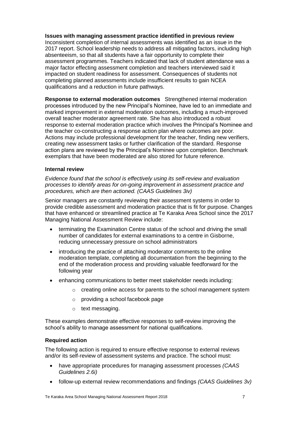**Issues with managing assessment practice identified in previous review** Inconsistent completion of internal assessments was identified as an issue in the 2017 report. School leadership needs to address all mitigating factors, including high absenteeism, so that all students have a fair opportunity to complete their assessment programmes. Teachers indicated that lack of student attendance was a major factor effecting assessment completion and teachers interviewed said it impacted on student readiness for assessment. Consequences of students not completing planned assessments include insufficient results to gain NCEA qualifications and a reduction in future pathways.

**Response to external moderation outcomes** Strengthened internal moderation processes introduced by the new Principal's Nominee, have led to an immediate and marked improvement in external moderation outcomes, including a much-improved overall teacher moderator agreement rate. She has also introduced a robust response to external moderation practice which involves the Principal's Nominee and the teacher co-constructing a response action plan where outcomes are poor. Actions may include professional development for the teacher, finding new verifiers, creating new assessment tasks or further clarification of the standard. Response action plans are reviewed by the Principal's Nominee upon completion. Benchmark exemplars that have been moderated are also stored for future reference.

#### **Internal review**

*Evidence found that the school is effectively using its self-review and evaluation processes to identify areas for on-going improvement in assessment practice and procedures, which are then actioned. (CAAS Guidelines 3iv)*

Senior managers are constantly reviewing their assessment systems in order to provide credible assessment and moderation practice that is fit for purpose. Changes that have enhanced or streamlined practice at Te Karaka Area School since the 2017 Managing National Assessment Review include:

- terminating the Examination Centre status of the school and driving the small number of candidates for external examinations to a centre in Gisborne, reducing unnecessary pressure on school administrators
- introducing the practice of attaching moderator comments to the online moderation template, completing all documentation from the beginning to the end of the moderation process and providing valuable feedforward for the following year
- enhancing communications to better meet stakeholder needs including:
	- $\circ$  creating online access for parents to the school management system
	- o providing a school facebook page
	- o text messaging.

These examples demonstrate effective responses to self-review improving the school's ability to manage assessment for national qualifications.

#### **Required action**

The following action is required to ensure effective response to external reviews and/or its self-review of assessment systems and practice. The school must:

- have appropriate procedures for managing assessment processes *(CAAS Guidelines 2.6i)*
- follow-up external review recommendations and findings *(CAAS Guidelines 3v)*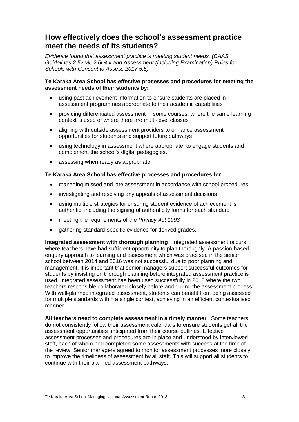# **How effectively does the school's assessment practice meet the needs of its students?**

*Evidence found that assessment practice is meeting student needs. (CAAS Guidelines 2.5v-vii, 2.6i & ii and Assessment (including Examination) Rules for Schools with Consent to Assess 2017 5.5)*

#### **Te Karaka Area School has effective processes and procedures for meeting the assessment needs of their students by:**

- using past achievement information to ensure students are placed in assessment programmes appropriate to their academic capabilities
- providing differentiated assessment in some courses, where the same learning context is used or where there are multi-level classes
- aligning with outside assessment providers to enhance assessment opportunities for students and support future pathways
- using technology in assessment where appropriate, to engage students and complement the school's digital pedagogies.
- assessing when ready as appropriate.

#### **Te Karaka Area School has effective processes and procedures for:**

- managing missed and late assessment in accordance with school procedures
- investigating and resolving any appeals of assessment decisions
- using multiple strategies for ensuring student evidence of achievement is authentic, including the signing of authenticity forms for each standard
- meeting the requirements of the *Privacy Act 1993*
- gathering standard-specific evidence for derived grades.

**Integrated assessment with thorough planning** Integrated assessment occurs where teachers have had sufficient opportunity to plan thoroughly. A passion-based enquiry approach to learning and assessment which was practised in the senior school between 2014 and 2016 was not successful due to poor planning and management. It is important that senior managers support successful outcomes for students by insisting on thorough planning before integrated assessment practice is used. Integrated assessment has been used successfully in 2018 where the two teachers responsible collaborated closely before and during the assessment process. With well-planned integrated assessment, students can benefit from being assessed for multiple standards within a single context, achieving in an efficient contextualised manner.

**All teachers need to complete assessment in a timely manner** Some teachers do not consistently follow their assessment calendars to ensure students get all the assessment opportunities anticipated from their course outlines. Effective assessment processes and procedures are in place and understood by interviewed staff, each of whom had completed some assessments with success at the time of the review. Senior managers agreed to monitor assessment processes more closely to improve the timeliness of assessment by all staff. This will support all students to continue with their planned assessment pathways.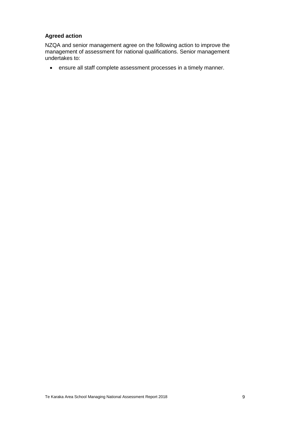#### **Agreed action**

NZQA and senior management agree on the following action to improve the management of assessment for national qualifications. Senior management undertakes to:

• ensure all staff complete assessment processes in a timely manner.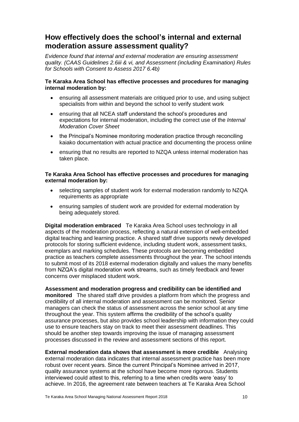# **How effectively does the school's internal and external moderation assure assessment quality?**

*Evidence found that internal and external moderation are ensuring assessment quality. (CAAS Guidelines 2.6iii & vi, and Assessment (including Examination) Rules for Schools with Consent to Assess 2017 6.4b)*

#### **Te Karaka Area School has effective processes and procedures for managing internal moderation by:**

- ensuring all assessment materials are critiqued prior to use, and using subject specialists from within and beyond the school to verify student work
- ensuring that all NCEA staff understand the school's procedures and expectations for internal moderation, including the correct use of the *Internal Moderation Cover Sheet*
- the Principal's Nominee monitoring moderation practice through reconciling kaiako documentation with actual practice and documenting the process online
- ensuring that no results are reported to NZQA unless internal moderation has taken place.

#### **Te Karaka Area School has effective processes and procedures for managing external moderation by:**

- selecting samples of student work for external moderation randomly to NZQA requirements as appropriate
- ensuring samples of student work are provided for external moderation by being adequately stored.

**Digital moderation embraced** Te Karaka Area School uses technology in all aspects of the moderation process, reflecting a natural extension of well-embedded digital teaching and learning practice. A shared staff drive supports newly developed protocols for storing sufficient evidence, including student work, assessment tasks, exemplars and marking schedules. These protocols are becoming embedded practice as teachers complete assessments throughout the year. The school intends to submit most of its 2018 external moderation digitally and values the many benefits from NZQA's digital moderation work streams, such as timely feedback and fewer concerns over misplaced student work.

#### **Assessment and moderation progress and credibility can be identified and monitored** The shared staff drive provides a platform from which the progress and credibility of all internal moderation and assessment can be monitored. Senior managers can check the status of assessment across the senior school at any time throughout the year. This system affirms the credibility of the school's quality assurance processes, but also provides school leadership with information they could use to ensure teachers stay on track to meet their assessment deadlines. This should be another step towards improving the issue of managing assessment processes discussed in the review and assessment sections of this report.

**External moderation data shows that assessment is more credible** Analysing external moderation data indicates that internal assessment practice has been more robust over recent years. Since the current Principal's Nominee arrived in 2017, quality assurance systems at the school have become more rigorous. Students interviewed could attest to this, referring to a time when credits were 'easy' to achieve. In 2016, the agreement rate between teachers at Te Karaka Area School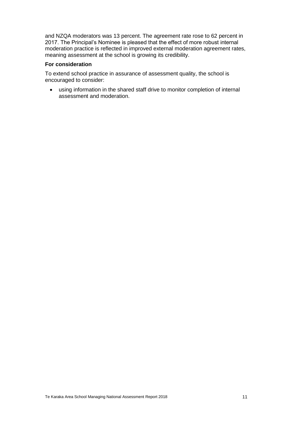and NZQA moderators was 13 percent. The agreement rate rose to 62 percent in 2017. The Principal's Nominee is pleased that the effect of more robust internal moderation practice is reflected in improved external moderation agreement rates, meaning assessment at the school is growing its credibility.

#### **For consideration**

To extend school practice in assurance of assessment quality, the school is encouraged to consider:

• using information in the shared staff drive to monitor completion of internal assessment and moderation.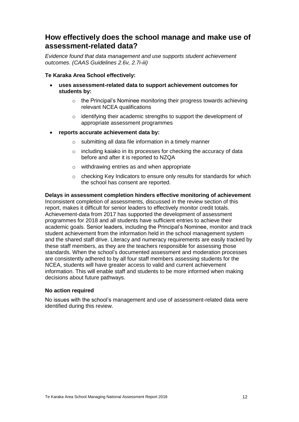# **How effectively does the school manage and make use of assessment-related data?**

*Evidence found that data management and use supports student achievement outcomes. (CAAS Guidelines 2.6v, 2.7i-iii)*

#### **Te Karaka Area School effectively:**

- **uses assessment-related data to support achievement outcomes for students by:**
	- o the Principal's Nominee monitoring their progress towards achieving relevant NCEA qualifications
	- o identifying their academic strengths to support the development of appropriate assessment programmes
- **reports accurate achievement data by:**
	- o submitting all data file information in a timely manner
	- o including kaiako in its processes for checking the accuracy of data before and after it is reported to NZQA
	- o withdrawing entries as and when appropriate
	- o checking Key Indicators to ensure only results for standards for which the school has consent are reported.

#### **Delays in assessment completion hinders effective monitoring of achievement**  Inconsistent completion of assessments, discussed in the review section of this report, makes it difficult for senior leaders to effectively monitor credit totals. Achievement-data from 2017 has supported the development of assessment programmes for 2018 and all students have sufficient entries to achieve their academic goals. Senior leaders, including the Principal's Nominee, monitor and track student achievement from the information held in the school management system and the shared staff drive. Literacy and numeracy requirements are easily tracked by these staff members, as they are the teachers responsible for assessing those standards. When the school's documented assessment and moderation processes are consistently adhered to by all four staff members assessing students for the NCEA, students will have greater access to valid and current achievement information. This will enable staff and students to be more informed when making decisions about future pathways.

#### **No action required**

No issues with the school's management and use of assessment-related data were identified during this review.